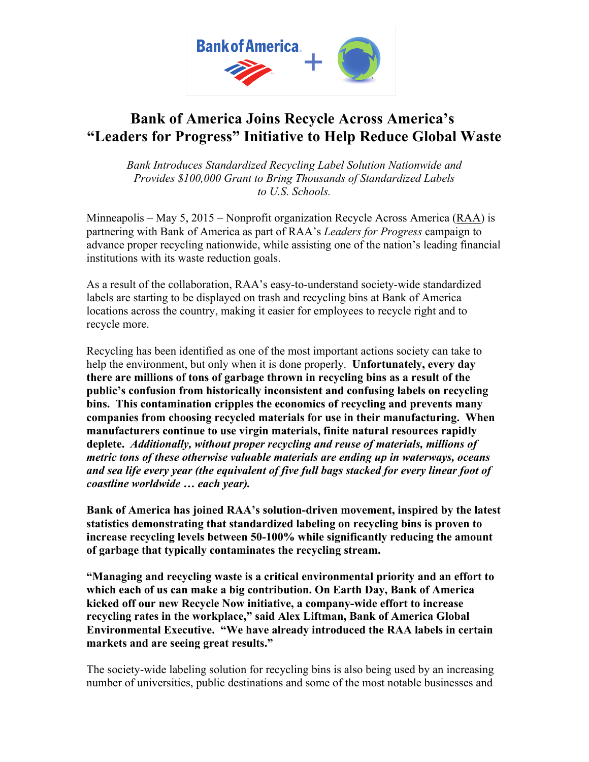

## **Bank of America Joins Recycle Across America's "Leaders for Progress" Initiative to Help Reduce Global Waste**

*Bank Introduces Standardized Recycling Label Solution Nationwide and Provides \$100,000 Grant to Bring Thousands of Standardized Labels to U.S. Schools.*

Minneapolis – May 5, 2015 – Nonprofit organization Recycle Across America ( $RAA$ ) is partnering with Bank of America as part of RAA's *Leaders for Progress* campaign to advance proper recycling nationwide, while assisting one of the nation's leading financial institutions with its waste reduction goals.

As a result of the collaboration, RAA's easy-to-understand society-wide standardized labels are starting to be displayed on trash and recycling bins at Bank of America locations across the country, making it easier for employees to recycle right and to recycle more.

Recycling has been identified as one of the most important actions society can take to help the environment, but only when it is done properly. **Unfortunately, every day there are millions of tons of garbage thrown in recycling bins as a result of the public's confusion from historically inconsistent and confusing labels on recycling bins. This contamination cripples the economics of recycling and prevents many companies from choosing recycled materials for use in their manufacturing. When manufacturers continue to use virgin materials, finite natural resources rapidly deplete.** *Additionally, without proper recycling and reuse of materials, millions of metric tons of these otherwise valuable materials are ending up in waterways, oceans and sea life every year (the equivalent of five full bags stacked for every linear foot of coastline worldwide … each year).*

**Bank of America has joined RAA's solution-driven movement, inspired by the latest statistics demonstrating that standardized labeling on recycling bins is proven to increase recycling levels between 50-100% while significantly reducing the amount of garbage that typically contaminates the recycling stream.**

**"Managing and recycling waste is a critical environmental priority and an effort to which each of us can make a big contribution. On Earth Day, Bank of America kicked off our new Recycle Now initiative, a company-wide effort to increase recycling rates in the workplace," said Alex Liftman, Bank of America Global Environmental Executive. "We have already introduced the RAA labels in certain markets and are seeing great results."**

The society-wide labeling solution for recycling bins is also being used by an increasing number of universities, public destinations and some of the most notable businesses and